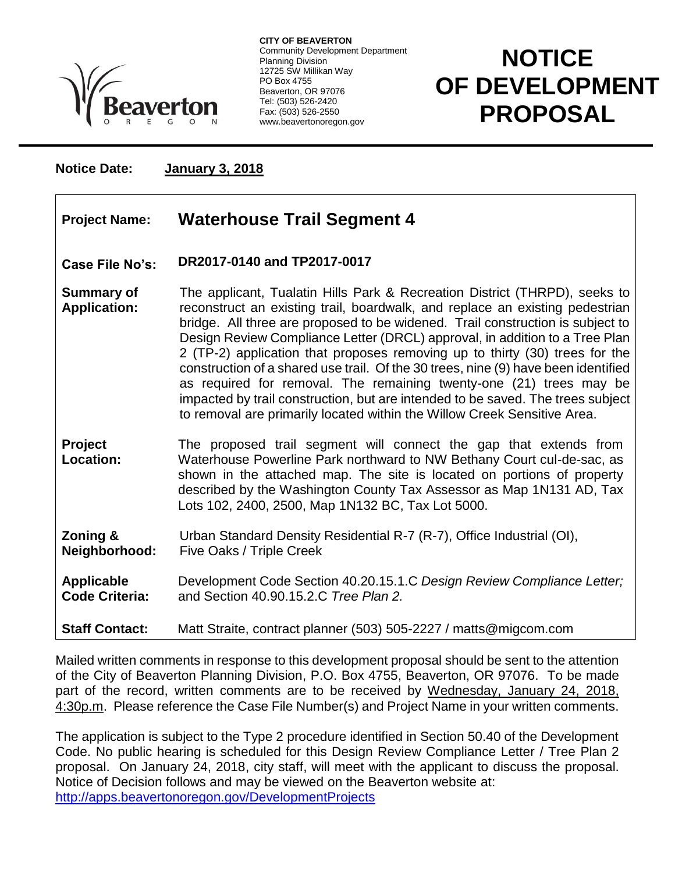

**CITY OF BEAVERTON** Community Development Department Planning Division 12725 SW Millikan Way PO Box 4755 Beaverton, OR 97076 Tel: (503) 526-2420 Fax: (503) 526-2550 www.beavertonoregon.gov

## **NOTICE OF DEVELOPMENT PROPOSAL**

**F**

**Notice Date: January 3, 2018**

| <b>Project Name:</b> | <b>Waterhouse Trail Segment 4</b> |  |
|----------------------|-----------------------------------|--|
|----------------------|-----------------------------------|--|

## **Case File No's: DR2017-0140 and TP2017-0017**

**Summary of Application:** The applicant, Tualatin Hills Park & Recreation District (THRPD), seeks to reconstruct an existing trail, boardwalk, and replace an existing pedestrian bridge. All three are proposed to be widened. Trail construction is subject to Design Review Compliance Letter (DRCL) approval, in addition to a Tree Plan 2 (TP-2) application that proposes removing up to thirty (30) trees for the construction of a shared use trail. Of the 30 trees, nine (9) have been identified as required for removal. The remaining twenty-one (21) trees may be impacted by trail construction, but are intended to be saved. The trees subject to removal are primarily located within the Willow Creek Sensitive Area.

**Project Location:** The proposed trail segment will connect the gap that extends from Waterhouse Powerline Park northward to NW Bethany Court cul-de-sac, as shown in the attached map. The site is located on portions of property described by the Washington County Tax Assessor as Map 1N131 AD, Tax Lots 102, 2400, 2500, Map 1N132 BC, Tax Lot 5000.

**Zoning & Neighborhood:** Urban Standard Density Residential R-7 (R-7), Office Industrial (OI), Five Oaks / Triple Creek

**Applicable Code Criteria:** Development Code Section 40.20.15.1.C *Design Review Compliance Letter;*  and Section 40.90.15.2.C *Tree Plan 2.*

**Staff Contact:** Matt Straite, contract planner (503) 505-2227 / matts@migcom.com

Mailed written comments in response to this development proposal should be sent to the attention of the City of Beaverton Planning Division, P.O. Box 4755, Beaverton, OR 97076. To be made part of the record, written comments are to be received by Wednesday, January 24, 2018, 4:30p.m. Please reference the Case File Number(s) and Project Name in your written comments.

The application is subject to the Type 2 procedure identified in Section 50.40 of the Development Code. No public hearing is scheduled for this Design Review Compliance Letter / Tree Plan 2 proposal. On January 24, 2018, city staff, will meet with the applicant to discuss the proposal. Notice of Decision follows and may be viewed on the Beaverton website at: <http://apps.beavertonoregon.gov/DevelopmentProjects>